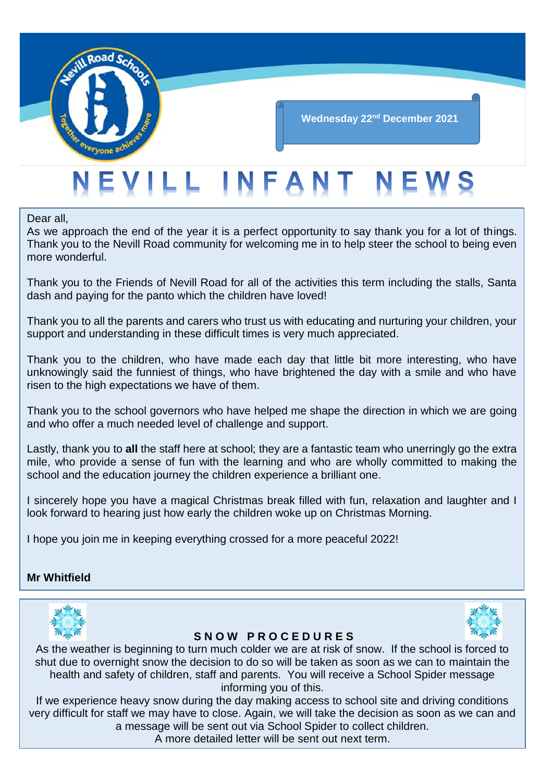

# **Wednesday 22nd December 2021**

# EVILL INFANT NEWS

Dear all,

As we approach the end of the year it is a perfect opportunity to say thank you for a lot of things. Thank you to the Nevill Road community for welcoming me in to help steer the school to being even more wonderful.

Thank you to the Friends of Nevill Road for all of the activities this term including the stalls, Santa dash and paying for the panto which the children have loved!

Thank you to all the parents and carers who trust us with educating and nurturing your children, your support and understanding in these difficult times is very much appreciated.

Thank you to the children, who have made each day that little bit more interesting, who have unknowingly said the funniest of things, who have brightened the day with a smile and who have risen to the high expectations we have of them.

Thank you to the school governors who have helped me shape the direction in which we are going and who offer a much needed level of challenge and support.

Lastly, thank you to **all** the staff here at school; they are a fantastic team who unerringly go the extra mile, who provide a sense of fun with the learning and who are wholly committed to making the school and the education journey the children experience a brilliant one.

I sincerely hope you have a magical Christmas break filled with fun, relaxation and laughter and I look forward to hearing just how early the children woke up on Christmas Morning.

I hope you join me in keeping everything crossed for a more peaceful 2022!

# **Mr Whitfield**





# **S N O W P R O C E D U R E S**

As the weather is beginning to turn much colder we are at risk of snow. If the school is forced to shut due to overnight snow the decision to do so will be taken as soon as we can to maintain the health and safety of children, staff and parents. You will receive a School Spider message informing you of this.

If we experience heavy snow during the day making access to school site and driving conditions very difficult for staff we may have to close. Again, we will take the decision as soon as we can and a message will be sent out via School Spider to collect children.

A more detailed letter will be sent out next term.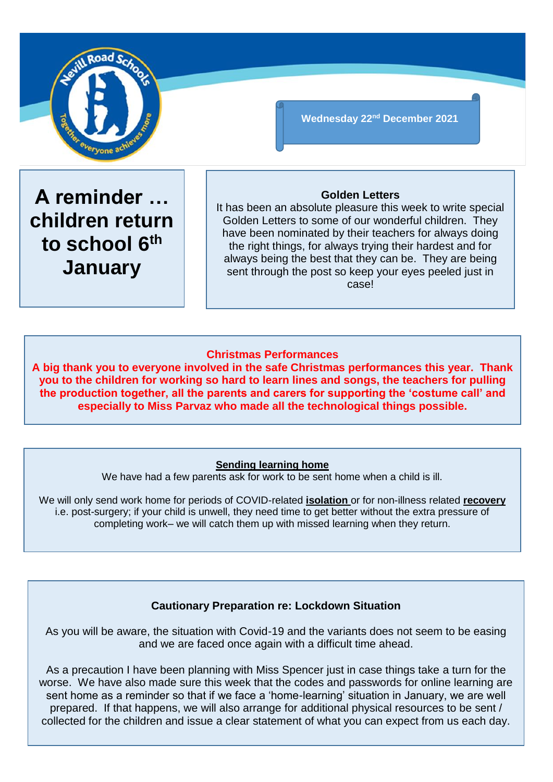

**Wednesday 22nd December 2021**

**A reminder … children return to school 6th January**

# **Golden Letters**

It has been an absolute pleasure this week to write special Golden Letters to some of our wonderful children. They have been nominated by their teachers for always doing the right things, for always trying their hardest and for always being the best that they can be. They are being sent through the post so keep your eyes peeled just in case!

# **Christmas Performances**

**A big thank you to everyone involved in the safe Christmas performances this year. Thank you to the children for working so hard to learn lines and songs, the teachers for pulling the production together, all the parents and carers for supporting the 'costume call' and especially to Miss Parvaz who made all the technological things possible.**

# **Sending learning home**

We have had a few parents ask for work to be sent home when a child is ill.

We will only send work home for periods of COVID-related **isolation** or for non-illness related **recovery** i.e. post-surgery; if your child is unwell, they need time to get better without the extra pressure of completing work– we will catch them up with missed learning when they return.

# **Cautionary Preparation re: Lockdown Situation**

As you will be aware, the situation with Covid-19 and the variants does not seem to be easing and we are faced once again with a difficult time ahead.

As a precaution I have been planning with Miss Spencer just in case things take a turn for the worse. We have also made sure this week that the codes and passwords for online learning are sent home as a reminder so that if we face a 'home-learning' situation in January, we are well prepared. If that happens, we will also arrange for additional physical resources to be sent / collected for the children and issue a clear statement of what you can expect from us each day.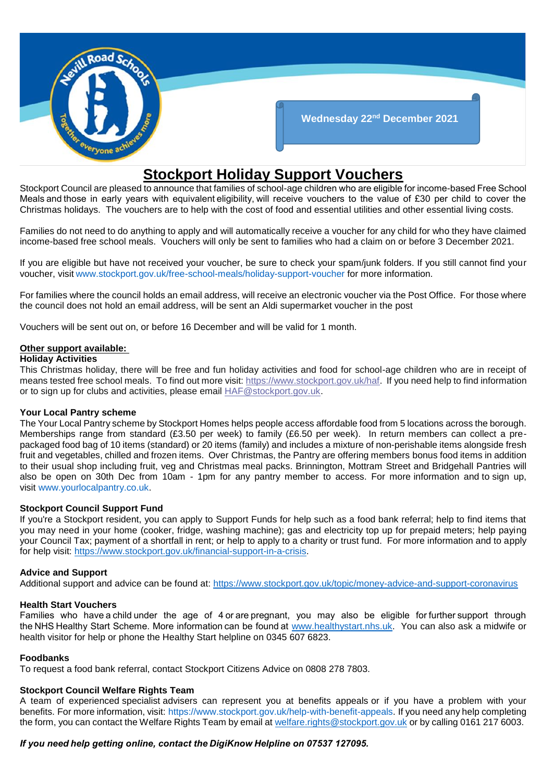

# **Stockport Holiday Support Vouchers**

Stockport Council are pleased to announce that families of school-age children who are eligible for income-based Free School Meals and those in early years with equivalent eligibility, will receive vouchers to the value of £30 per child to cover the Christmas holidays. The vouchers are to help with the cost of food and essential utilities and other essential living costs.

Families do not need to do anything to apply and will automatically receive a voucher for any child for who they have claimed income-based free school meals. Vouchers will only be sent to families who had a claim on or before 3 December 2021.

If you are eligible but have not received your voucher, be sure to check your spam/junk folders. If you still cannot find your voucher, visit [www.stockport.gov.uk/free-school-meals/holiday-support-voucher](http://www.stockport.gov.uk/free-school-meals/holiday-support-voucher) for more information.

For families where the council holds an email address, will receive an electronic voucher via the Post Office. For those where the council does not hold an email address, will be sent an Aldi supermarket voucher in the post

Vouchers will be sent out on, or before 16 December and will be valid for 1 month.

### **Other support available:**

### **Holiday Activities**

This Christmas holiday, there will be free and fun holiday activities and food for school-age children who are in receipt of means tested free school meals. To find out more visit[: https://www.stockport.gov.uk/haf.](https://eur01.safelinks.protection.outlook.com/?url=https%3A%2F%2Fwww.stockport.gov.uk%2Fhaf&data=04%7C01%7Cjaime.scowcroft%40stockport.gov.uk%7C80dd261b6f9b438d615f08d9b3470e34%7Ca05ef69e61494fbaa40cdf338810f644%7C0%7C0%7C637737940024379413%7CUnknown%7CTWFpbGZsb3d8eyJWIjoiMC4wLjAwMDAiLCJQIjoiV2luMzIiLCJBTiI6Ik1haWwiLCJXVCI6Mn0%3D%7C3000&sdata=CA4Dt8BO8p0DBsY1b%2BjW6Wi3%2FPbY3CNHJsEL1QQ2ilY%3D&reserved=0) If you need help to find information or to sign up for clubs and activities, please email [HAF@stockport.gov.uk.](mailto:HAF@stockport.gov.uk)

### **Your Local Pantry scheme**

The Your Local Pantry scheme by Stockport Homes helps people access affordable food from 5 locations across the borough. Memberships range from standard (£3.50 per week) to family (£6.50 per week). In return members can collect a prepackaged food bag of 10 items (standard) or 20 items (family) and includes a mixture of non-perishable items alongside fresh fruit and vegetables, chilled and frozen items. Over Christmas, the Pantry are offering members bonus food items in addition to their usual shop including fruit, veg and Christmas meal packs. Brinnington, Mottram Street and Bridgehall Pantries will also be open on 30th Dec from 10am - 1pm for any pantry member to access. For more information and to sign up, visit [www.yourlocalpantry.co.uk.](http://www.yourlocalpantry.co.uk/)

### **Stockport Council Support Fund**

If you're a Stockport resident, you can apply to Support Funds for help such as a food bank referral; help to find items that you may need in your home (cooker, fridge, washing machine); gas and electricity top up for prepaid meters; help paying your Council Tax; payment of a shortfall in rent; or help to apply to a charity or trust fund. For more information and to apply for help visit: [https://www.stockport.gov.uk/financial-support-in-a-crisis.](https://www.stockport.gov.uk/financial-support-in-a-crisis)

### **Advice and Support**

Additional support and advice can be found at:<https://www.stockport.gov.uk/topic/money-advice-and-support-coronavirus>

### **Health Start Vouchers**

Families who have a child under the age of 4 or are pregnant, you may also be eligible for further support through the NHS Healthy Start Scheme. More information can be found at [www.healthystart.nhs.uk.](http://www.healthystart.nhs.uk/) You can also ask a midwife or health visitor for help or phone the Healthy Start helpline on 0345 607 6823.

### **Foodbanks**

To request a food bank referral, contact Stockport Citizens Advice on 0808 278 7803.

### **Stockport Council Welfare Rights Team**

A team of experienced specialist advisers can represent you at benefits appeals or if you have a problem with your benefits. For more information, visit: [https://www.stockport.gov.uk/help-with-benefit-appeals.](https://www.stockport.gov.uk/help-with-benefit-appeals) If you need any help completing the form, you can contact the Welfare Rights Team by email at [welfare.rights@stockport.gov.uk](mailto:welfare.rights@stockport.gov.uk) or by calling 0161 217 6003.

# *If you need help getting online, contact the DigiKnow Helpline on 07537 127095.*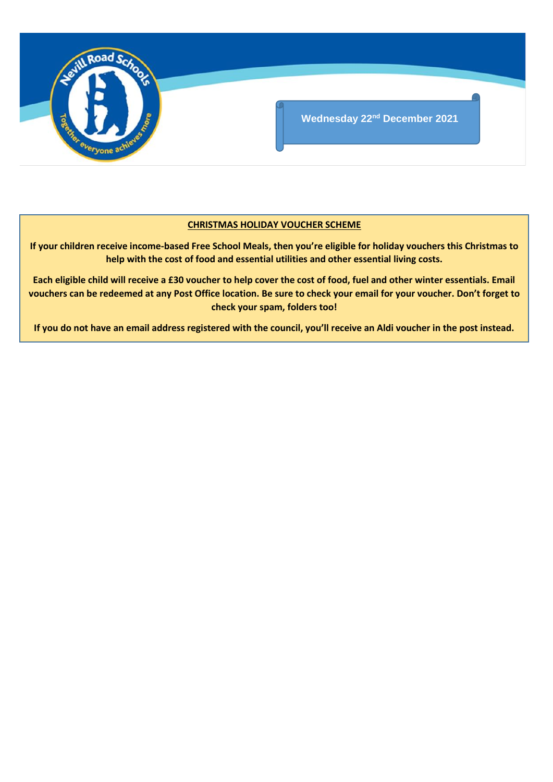

# **CHRISTMAS HOLIDAY VOUCHER SCHEME**

**If your children receive income-based Free School Meals, then you're eligible for holiday vouchers this Christmas to help with the cost of food and essential utilities and other essential living costs.**

**Each eligible child will receive a £30 voucher to help cover the cost of food, fuel and other winter essentials. Email vouchers can be redeemed at any Post Office location. Be sure to check your email for your voucher. Don't forget to check your spam, folders too!**

**If you do not have an email address registered with the council, you'll receive an Aldi voucher in the post instead.**